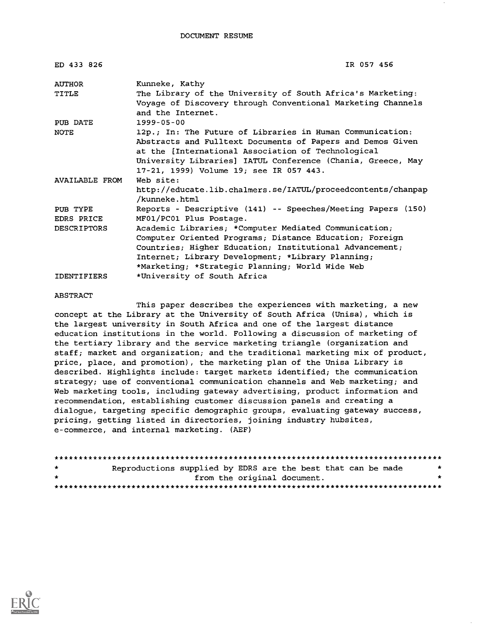| ED 433 826         | IR 057 456                                                   |  |  |  |
|--------------------|--------------------------------------------------------------|--|--|--|
| AUTHOR             | Kunneke, Kathy                                               |  |  |  |
| TITLE              | The Library of the University of South Africa's Marketing:   |  |  |  |
|                    | Voyage of Discovery through Conventional Marketing Channels  |  |  |  |
|                    | and the Internet.                                            |  |  |  |
| PUB DATE           | $1999 - 05 - 00$                                             |  |  |  |
| <b>NOTE</b>        | 12p.; In: The Future of Libraries in Human Communication:    |  |  |  |
|                    | Abstracts and Fulltext Documents of Papers and Demos Given   |  |  |  |
|                    | at the [International Association of Technological           |  |  |  |
|                    | University Libraries] IATUL Conference (Chania, Greece, May  |  |  |  |
|                    | 17-21, 1999) Volume 19; see IR 057 443.                      |  |  |  |
| AVAILABLE FROM     | Web site:                                                    |  |  |  |
|                    | http://educate.lib.chalmers.se/IATUL/proceedcontents/chanpap |  |  |  |
|                    | /kunneke.html                                                |  |  |  |
| PUB TYPE           | Reports - Descriptive (141) -- Speeches/Meeting Papers (150) |  |  |  |
| EDRS PRICE         | MF01/PC01 Plus Postage.                                      |  |  |  |
| <b>DESCRIPTORS</b> | Academic Libraries; *Computer Mediated Communication;        |  |  |  |
|                    | Computer Oriented Programs; Distance Education; Foreign      |  |  |  |
|                    | Countries; Higher Education; Institutional Advancement;      |  |  |  |
|                    | Internet; Library Development; *Library Planning;            |  |  |  |
|                    | *Marketing; *Strategic Planning; World Wide Web              |  |  |  |
| <b>IDENTIFIERS</b> | *University of South Africa                                  |  |  |  |

#### ABSTRACT

This paper describes the experiences with marketing, a new concept at the Library at the University of South Africa (Unisa), which is the largest university in South Africa and one of the largest distance education institutions in the world. Following a discussion of marketing of the tertiary library and the service marketing triangle (organization and staff; market and organization; and the traditional marketing mix of product, price, place, and promotion), the marketing plan of the Unisa Library is described. Highlights include: target markets identified; the communication strategy; use of conventional communication channels and Web marketing; and Web marketing tools, including gateway advertising, product information and recommendation, establishing customer discussion panels and creating a dialogue, targeting specific demographic groups, evaluating gateway success, pricing, getting listed in directories, joining industry hubsites, e-commerce, and internal marketing. (AEF)

| $\star$ | Reproductions supplied by EDRS are the best that can be made |  |                             | $\star$ |
|---------|--------------------------------------------------------------|--|-----------------------------|---------|
| $\star$ |                                                              |  | from the original document. | *       |
|         |                                                              |  |                             |         |

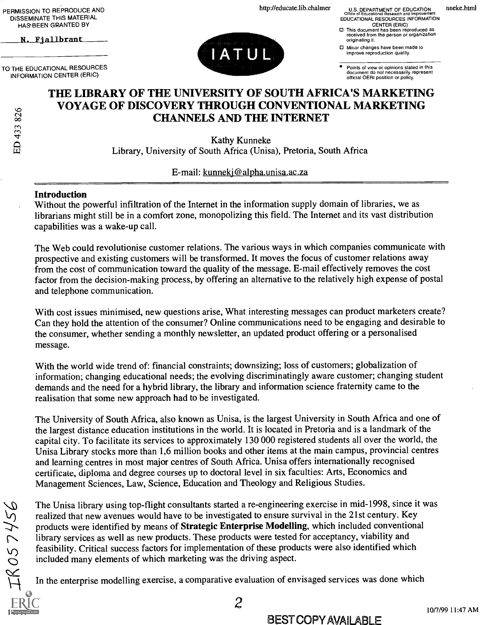PERMISSION TO REPRODUCE AND DISSEMINATE THIS MATERIAL HASBEEN GRANTED BY

N. Fjallbrant

TO THE EDUCATIONAL RESOURCES INFORMATION CENTER (ERIC)



http://educate.lib.chalmer U.S. DEPARTMENT OF EDUCATION Office of Educational Research and Improvement EDUCATIONAL RESOURCES INFORMATION<br>CENTER (ERIC)

nneke.html

CENTER (ERIC) This document has been reproduced as received from the person or organization originating it.

Minor changes have been made to improve reproduction quality.

Points of view or opinions stated in this document do not necessarily represent official OERI position or policy.

## THE LIBRARY OF THE UNIVERSITY OF SOUTH AFRICA'S MARKETING VOYAGE OF DISCOVERY THROUGH CONVENTIONAL MARKETING CHANNELS AND THE INTERNET

Kathy Kunneke Library, University of South Africa (Unisa), Pretoria, South Africa

E-mail: kunnekj@alpha.unisa.ac.za

#### Introduction

Without the powerful infiltration of the Internet in the information supply domain of libraries, we as librarians might still be in a comfort zone, monopolizing this field. The Internet and its vast distribution capabilities was a wake-up call.

The Web could revolutionise customer relations. The various ways in which companies communicate with prospective and existing customers will be transformed. It moves the focus of customer relations away from the cost of communication toward the quality of the message. E-mail effectively removes the cost factor from the decision-making process, by offering an alternative to the relatively high expense of postal and telephone communication.

With cost issues minimised, new questions arise, What interesting messages can product marketers create? Can they hold the attention of the consumer? Online communications need to be engaging and desirable to the consumer, whether sending a monthly newsletter, an updated product offering or a personalised message.

With the world wide trend of: financial constraints; downsizing; loss of customers; globalization of information; changing educational needs; the evolving discriminatingly aware customer; changing student demands and the need for a hybrid library, the library and information science fraternity came to the realisation that some new approach had to be investigated.

The University of South Africa, also known as Unisa, is the largest University in South Africa and one of the largest distance education institutions in the world. It is located in Pretoria and is a landmark of the capital city. To facilitate its services to approximately 130 000 registered students all over the world, the Unisa Library stocks more than 1,6 million books and other items at the main campus, provincial centres and learning centres in most major centres of South Africa. Unisa offers internationally recognised certificate, diploma and degree courses up to doctoral level in six faculties: Arts, Economics and Management Sciences, Law, Science, Education and Theology and Religious Studies.

The Unisa library using top-flight consultants started a re-engineering exercise in mid-1998, since it was realized that new avenues would have to be investigated to ensure survival in the 21st century. Key products were identified by means of Strategic Enterprise Modelling, which included conventional library services as well as new products. These products were tested for acceptancy, viability and feasibility. Critical success factors for implementation of these products were also identified which included many elements of which marketing was the driving aspect.

In the enterprise modelling exercise, a comparative evaluation of envisaged services was done which

ED 433 826

### BEST COPY AVAILABLE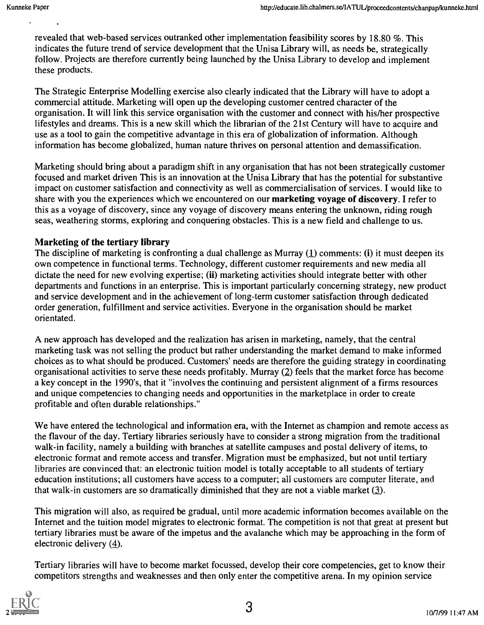revealed that web-based services outranked other implementation feasibility scores by 18.80 %. This indicates the future trend of service development that the Unisa Library will, as needs be, strategically follow. Projects are therefore currently being launched by the Unisa Library to develop and implement these products.

The Strategic Enterprise Modelling exercise also clearly indicated that the Library will have to adopt a commercial attitude. Marketing will open up the developing customer centred character of the organisation. It will link this service organisation with the customer and connect with his/her prospective lifestyles and dreams. This is a new skill which the librarian of the 21st Century will have to acquire and use as a tool to gain the competitive advantage in this era of globalization of information. Although information has become globalized, human nature thrives on personal attention and demassification.

Marketing should bring about a paradigm shift in any organisation that has not been strategically customer focused and market driven This is an innovation at the Unisa Library that has the potential for substantive impact on customer satisfaction and connectivity as well as commercialisation of services. I would like to share with you the experiences which we encountered on our marketing voyage of discovery. I refer to this as a voyage of discovery, since any voyage of discovery means entering the unknown, riding rough seas, weathering storms, exploring and conquering obstacles. This is a new field and challenge to us.

#### Marketing of the tertiary library

The discipline of marketing is confronting a dual challenge as Murray  $(1)$  comments: (i) it must deepen its own competence in functional terms. Technology, different customer requirements and new media all dictate the need for new evolving expertise; (ii) marketing activities should integrate better with other departments and functions in an enterprise. This is important particularly concerning strategy, new product and service development and in the achievement of long-term customer satisfaction through dedicated order generation, fulfillment and service activities. Everyone in the organisation should be market orientated.

A new approach has developed and the realization has arisen in marketing, namely, that the central marketing task was not selling the product but rather understanding the market demand to make informed choices as to what should be produced. Customers' needs are therefore the guiding strategy in coordinating organisational activities to serve these needs profitably. Murray (2) feels that the market force has become a key concept in the 1990's, that it "involves the continuing and persistent alignment of a firms resources and unique competencies to changing needs and opportunities in the marketplace in order to create profitable and often durable relationships."

We have entered the technological and information era, with the Internet as champion and remote access as the flavour of the day. Tertiary libraries seriously have to consider a strong migration from the traditional walk-in facility, namely a building with branches at satellite campuses and postal delivery of items, to electronic format and remote access and transfer. Migration must be emphasized, but not until tertiary libraries are convinced that: an electronic tuition model is totally acceptable to all students of tertiary education institutions; all customers have access to a computer; all customers are computer literate, and that walk-in customers are so dramatically diminished that they are not a viable market  $(3)$ .

This migration will also, as required be gradual, until more academic information becomes available on the Internet and the tuition model migrates to electronic format. The competition is not that great at present but tertiary libraries must be aware of the impetus and the avalanche which may be approaching in the form of electronic delivery (4).

Tertiary libraries will have to become market focussed, develop their core competencies, get to know their competitors strengths and weaknesses and then only enter the competitive arena. In my opinion service

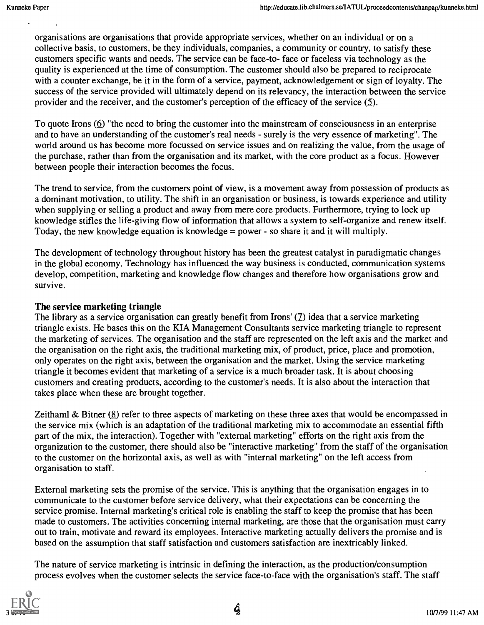organisations are organisations that provide appropriate services, whether on an individual or on a collective basis, to customers, be they individuals, companies, a community or country, to satisfy these customers specific wants and needs. The service can be face-to- face or faceless via technology as the quality is experienced at the time of consumption. The customer should also be prepared to reciprocate with a counter exchange, be it in the form of a service, payment, acknowledgement or sign of loyalty. The success of the service provided will ultimately depend on its relevancy, the interaction between the service provider and the receiver, and the customer's perception of the efficacy of the service (5).

To quote Irons  $(6)$  "the need to bring the customer into the mainstream of consciousness in an enterprise and to have an understanding of the customer's real needs - surely is the very essence of marketing". The world around us has become more focussed on service issues and on realizing the value, from the usage of the purchase, rather than from the organisation and its market, with the core product as a focus. However between people their interaction becomes the focus.

The trend to service, from the customers point of view, is a movement away from possession of products as a dominant motivation, to utility. The shift in an organisation or business, is towards experience and utility when supplying or selling a product and away from mere core products. Furthermore, trying to lock up knowledge stifles the life-giving flow of information that allows a system to self-organize and renew itself. Today, the new knowledge equation is knowledge = power - so share it and it will multiply.

The development of technology throughout history has been the greatest catalyst in paradigmatic changes in the global economy. Technology has influenced the way business is conducted, communication systems develop, competition, marketing and knowledge flow changes and therefore how organisations grow and survive.

#### The service marketing triangle

The library as a service organisation can greatly benefit from Irons' (7) idea that a service marketing triangle exists. He bases this on the KIA Management Consultants service marketing triangle to represent the marketing of services. The organisation and the staff are represented on the left axis and the market and the organisation on the right axis, the traditional marketing mix, of product, price, place and promotion, only operates on the right axis, between the organisation and the market. Using the service marketing triangle it becomes evident that marketing of a service is a much broader task. It is about choosing customers and creating products, according to the customer's needs. It is also about the interaction that takes place when these are brought together.

Zeithaml & Bitner (8) refer to three aspects of marketing on these three axes that would be encompassed in the service mix (which is an adaptation of the traditional marketing mix to accommodate an essential fifth part of the mix, the interaction). Together with "external marketing" efforts on the right axis from the organization to the customer, there should also be "interactive marketing" from the staff of the organisation to the customer on the horizontal axis, as well as with "internal marketing" on the left access from organisation to staff.

External marketing sets the promise of the service. This is anything that the organisation engages in to communicate to the customer before service delivery, what their expectations can be concerning the service promise. Internal marketing's critical role is enabling the staff to keep the promise that has been made to customers. The activities concerning internal marketing, are those that the organisation must carry out to train, motivate and reward its employees. Interactive marketing actually delivers the promise and is based on the assumption that staff satisfaction and customers satisfaction are inextricably linked.

The nature of service marketing is intrinsic in defining the interaction, as the production/consumption process evolves when the customer selects the service face-to-face with the organisation's staff. The staff

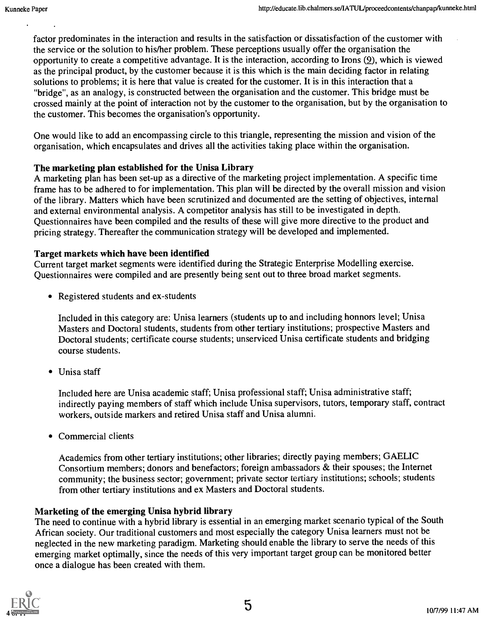factor predominates in the interaction and results in the satisfaction or dissatisfaction of the customer with the service or the solution to his/her problem. These perceptions usually offer the organisation the opportunity to create a competitive advantage. It is the interaction, according to Irons (9), which is viewed as the principal product, by the customer because it is this which is the main deciding factor in relating solutions to problems; it is here that value is created for the customer. It is in this interaction that a "bridge", as an analogy, is constructed between the organisation and the customer. This bridge must be crossed mainly at the point of interaction not by the customer to the organisation, but by the organisation to the customer. This becomes the organisation's opportunity.

One would like to add an encompassing circle to this triangle, representing the mission and vision of the organisation, which encapsulates and drives all the activities taking place within the organisation.

#### The marketing plan established for the Unisa Library

A marketing plan has been set-up as a directive of the marketing project implementation. A specific time frame has to be adhered to for implementation. This plan will be directed by the overall mission and vision of the library. Matters which have been scrutinized and documented are the setting of objectives, internal and external environmental analysis. A competitor analysis has still to be investigated in depth. Questionnaires have been compiled and the results of these will give more directive to the product and pricing strategy. Thereafter the communication strategy will be developed and implemented.

#### Target markets which have been identified

Current target market segments were identified during the Strategic Enterprise Modelling exercise. Questionnaires were compiled and are presently being sent out to three broad market segments.

• Registered students and ex-students

Included in this category are: Unisa learners (students up to and including honnors level; Unisa Masters and Doctoral students, students from other tertiary institutions; prospective Masters and Doctoral students; certificate course students; unserviced Unisa certificate students and bridging course students.

• Unisa staff

Included here are Unisa academic staff; Unisa professional staff; Unisa administrative staff; indirectly paying members of staff which include Unisa supervisors, tutors, temporary staff, contract workers, outside markers and retired Unisa staff and Unisa alumni.

Commercial clients

Academics from other tertiary institutions; other libraries; directly paying members; GAELIC Consortium members; donors and benefactors; foreign ambassadors & their spouses; the Internet community; the business sector; government; private sector tertiary institutions; schools; students from other tertiary institutions and ex Masters and Doctoral students.

#### Marketing of the emerging Unisa hybrid library

The need to continue with a hybrid library is essential in an emerging market scenario typical of the South African society. Our traditional customers and most especially the category Unisa learners must not be neglected in the new marketing paradigm. Marketing should enable the library to serve the needs of this emerging market optimally, since the needs of this very important target group can be monitored better once a dialogue has been created with them.

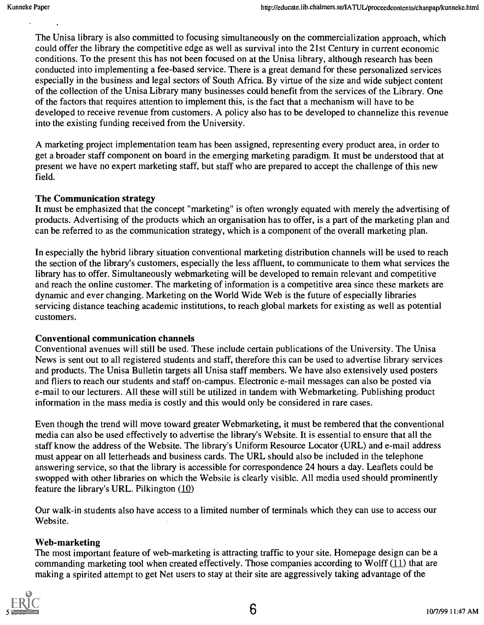The Unisa library is also committed to focusing simultaneously on the commercialization approach, which could offer the library the competitive edge as well as survival into the 21st Century in current economic conditions. To the present this has not been focused on at the Unisa library, although research has been conducted into implementing a fee-based service. There is a great demand for these personalized services especially in the business and legal sectors of South Africa. By virtue of the size and wide subject content of the collection of the Unisa Library many businesses could benefit from the services of the Library. One of the factors that requires attention to implement this, is the fact that a mechanism will have to be developed to receive revenue from customers. A policy also has to be developed to channelize this revenue into the existing funding received from the University.

A marketing project implementation team has been assigned, representing every product area, in order to get a broader staff component on board in the emerging marketing paradigm. It must be understood that at present we have no expert marketing staff, but staff who are prepared to accept the challenge of this new field.

#### The Communication strategy

It must be emphasized that the concept "marketing" is often wrongly equated with merely the advertising of products. Advertising of the products which an organisation has to offer, is a part of the marketing plan and can be referred to as the communication strategy, which is a component of the overall marketing plan.

In especially the hybrid library situation conventional marketing distribution channels will be used to reach the section of the library's customers, especially the less affluent, to communicate to them what services the library has to offer. Simultaneously webmarketing will be developed to remain relevant and competitive and reach the online customer. The marketing of information is a competitive area since these markets are dynamic and ever changing. Marketing on the World Wide Web is the future of especially libraries servicing distance teaching academic institutions, to reach global markets for existing as well as potential customers.

#### Conventional communication channels

Conventional avenues will still be used. These include certain publications of the University. The Unisa News is sent out to all registered students and staff, therefore this can be used to advertise library services and products. The Unisa Bulletin targets all Unisa staff members. We have also extensively used posters and fliers to reach our students and staff on-campus. Electronic e-mail messages can also be posted via e-mail to our lecturers. All these will still be utilized in tandem with Webmarketing. Publishing product information in the mass media is costly and this would only be considered in rare cases.

Even though the trend will move toward greater Webmarketing, it must be rembered that the conventional media can also be used effectively to advertise the library's Website. It is essential to ensure that all the staff know the address of the Website. The library's Uniform Resource Locator (URL) and e-mail address must appear on all letterheads and business cards. The URL should also be included in the telephone answering service, so that the library is accessible for correspondence 24 hours a day. Leaflets could be swopped with other libraries on which the Website is clearly visible. All media used should prominently feature the library's URL. Pilkington (10)

Our walk-in students also have access to a limited number of terminals which they can use to access our Website.

#### Web-marketing

The most important feature of web-marketing is attracting traffic to your site. Homepage design can be a commanding marketing tool when created effectively. Those companies according to Wolff  $(11)$  that are making a spirited attempt to get Net users to stay at their site are aggressively taking advantage of the

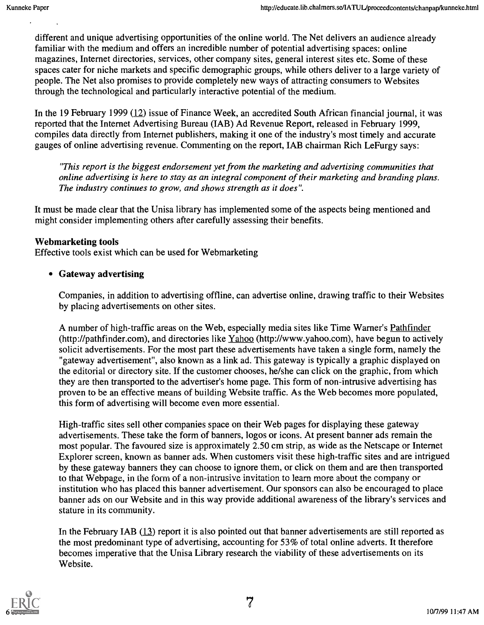different and unique advertising opportunities of the online world. The Net delivers an audience already familiar with the medium and offers an incredible number of potential advertising spaces: online magazines, Internet directories, services, other company sites, general interest sites etc. Some of these spaces cater for niche markets and specific demographic groups, while others deliver to a large variety of people. The Net also promises to provide completely new ways of attracting consumers to Websites through the technological and particularly interactive potential of the medium.

In the 19 February 1999  $(12)$  issue of Finance Week, an accredited South African financial journal, it was reported that the Internet Advertising Bureau (IAB) Ad Revenue Report, released in February 1999, compiles data directly from Internet publishers, making it one of the industry's most timely and accurate gauges of online advertising revenue. Commenting on the report, IAB chairman Rich LeFurgy says:

"This report is the biggest endorsement yet from the marketing and advertising communities that online advertising is here to stay as an integral component of their marketing and branding plans. The industry continues to grow, and shows strength as it does".

It must be made clear that the Unisa library has implemented some of the aspects being mentioned and might consider implementing others after carefully assessing their benefits.

#### Webmarketing tools

Effective tools exist which can be used for Webmarketing

#### Gateway advertising

Companies, in addition to advertising offline, can advertise online, drawing traffic to their Websites by placing advertisements on other sites.

A number of high-traffic areas on the Web, especially media sites like Time Warner's Pathfinder (http://pathfinder.com), and directories like Yahoo (http://www.yahoo.com), have begun to actively solicit advertisements. For the most part these advertisements have taken a single form, namely the "gateway advertisement", also known as a link ad. This gateway is typically a graphic displayed on the editorial or directory site. If the customer chooses, he/she can click on the graphic, from which they are then transported to the advertiser's home page. This form of non-intrusive advertising has proven to be an effective means of building Website traffic. As the Web becomes more populated, this form of advertising will become even more essential.

High-traffic sites sell other companies space on their Web pages for displaying these gateway advertisements. These take the form of banners, logos or icons. At present banner ads remain the most popular. The favoured size is approximately 2.50 cm strip, as wide as the Netscape or Internet Explorer screen, known as banner ads. When customers visit these high-traffic sites and are intrigued by these gateway banners they can choose to ignore them, or click on them and are then transported to that Webpage, in the form of a non-intrusive invitation to learn more about the company or institution who has placed this banner advertisement. Our sponsors can also be encouraged to place banner ads on our Website and in this way provide additional awareness of the library's services and stature in its community.

In the February IAB (13) report it is also pointed out that banner advertisements are still reported as the most predominant type of advertising, accounting for 53% of total online adverts. It therefore becomes imperative that the Unisa Library research the viability of these advertisements on its Website.

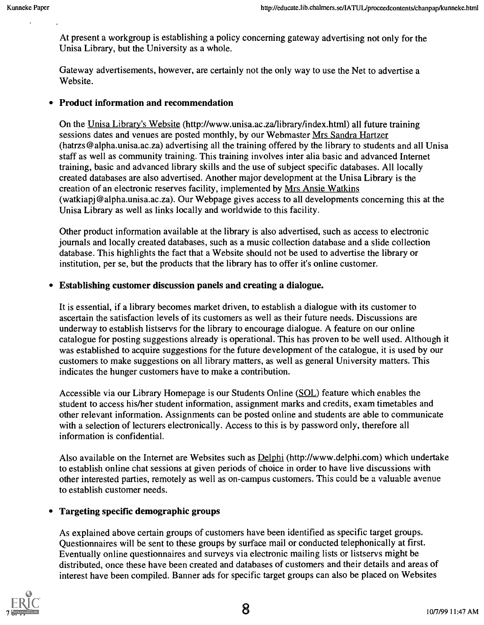At present a workgroup is establishing a policy concerning gateway advertising not only for the Unisa Library, but the University as a whole.

Gateway advertisements, however, are certainly not the only way to use the Net to advertise a Website.

#### Product information and recommendation

On the Unisa Library's Website (http://www.unisa.ac.za/library/index.html) all future training sessions dates and venues are posted monthly, by our Webmaster Mrs Sandra Hartzer (hatrzs@alpha.unisa.ac.za) advertising all the training offered by the library to students and all Unisa staff as well as community training. This training involves inter alia basic and advanced Internet training, basic and advanced library skills and the use of subject specific databases. All locally created databases are also advertised. Another major development at the Unisa Library is the creation of an electronic reserves facility, implemented by Mrs Ansie Watkins (watkiapj@alpha.unisa.ac.za). Our Webpage gives access to all developments concerning this at the Unisa Library as well as links locally and worldwide to this facility.

Other product information available at the library is also advertised, such as access to electronic journals and locally created databases, such as a music collection database and a slide collection database. This highlights the fact that a Website should not be used to advertise the library or institution, per se, but the products that the library has to offer it's online customer.

#### Establishing customer discussion panels and creating a dialogue.

It is essential, if a library becomes market driven, to establish a dialogue with its customer to ascertain the satisfaction levels of its customers as well as their future needs. Discussions are underway to establish listservs for the library to encourage dialogue. A feature on our online catalogue for posting suggestions already is operational. This has proven to be well used. Although it was established to acquire suggestions for the future development of the catalogue, it is used by our customers to make suggestions on all library matters, as well as general University matters. This indicates the hunger customers have to make a contribution.

Accessible via our Library Homepage is our Students Online (SOL) feature which enables the student to access his/her student information, assignment marks and credits, exam timetables and other relevant information. Assignments can be posted online and students are able to communicate with a selection of lecturers electronically. Access to this is by password only, therefore all information is confidential.

Also available on the Internet are Websites such as Delphi (http://www.delphi.com) which undertake to establish online chat sessions at given periods of choice in order to have live discussions with other interested parties, remotely as well as on-campus customers. This could be a valuable avenue to establish customer needs.

#### Targeting specific demographic groups

As explained above certain groups of customers have been identified as specific target groups. Questionnaires will be sent to these groups by surface mail or conducted telephonically at first. Eventually online questionnaires and surveys via electronic mailing lists or listservs might be distributed, once these have been created and databases of customers and their details and areas of interest have been compiled. Banner ads for specific target groups can also be placed on Websites

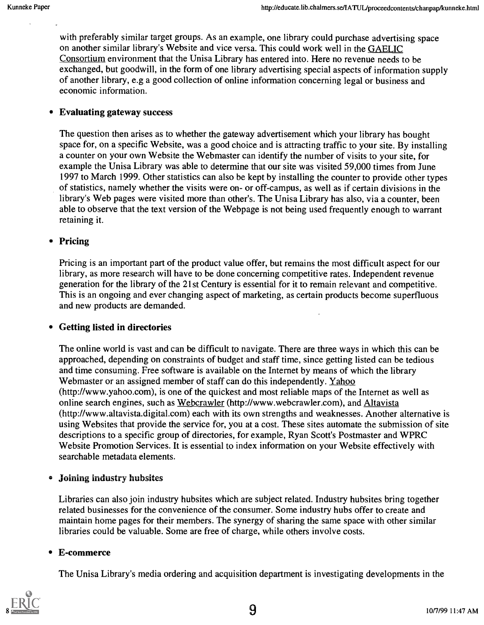with preferably similar target groups. As an example, one library could purchase advertising space on another similar library's Website and vice versa. This could work well in the GAELIC Consortium environment that the Unisa Library has entered into. Here no revenue needs to be exchanged, but goodwill, in the form of one library advertising special aspects of information supply of another library, e.g a good collection of online information concerning legal or business and economic information.

#### Evaluating gateway success

The question then arises as to whether the gateway advertisement which your library has bought space for, on a specific Website, was a good choice and is attracting traffic to your site. By installing a counter on your own Website the Webmaster can identify the number of visits to your site, for example the Unisa Library was able to determine that our site was visited 59,000 times from June 1997 to March 1999. Other statistics can also be kept by installing the counter to provide other types of statistics, namely whether the visits were on- or off-campus, as well as if certain divisions in the library's Web pages were visited more than other's. The Unisa Library has also, via a counter, been able to observe that the text version of the Webpage is not being used frequently enough to warrant retaining it.

#### • Pricing

Pricing is an important part of the product value offer, but remains the most difficult aspect for our library, as more research will have to be done concerning competitive rates. Independent revenue generation for the library of the 21st Century is essential for it to remain relevant and competitive. This is an ongoing and ever changing aspect of marketing, as certain products become superfluous and new products are demanded.

#### Getting listed in directories

The online world is vast and can be difficult to navigate. There are three ways in which this can be approached, depending on constraints of budget and staff time, since getting listed can be tedious and time consuming. Free software is available on the Internet by means of which the library Webmaster or an assigned member of staff can do this independently. Yahoo (http://www.yahoo.com), is one of the quickest and most reliable maps of the Internet as well as online search engines, such as Webcrawler (http://www.webcrawler.com), and Altavista (http://www.altavista.digital.com) each with its own strengths and weaknesses. Another alternative is using Websites that provide the service for, you at a cost. These sites automate the submission of site descriptions to a specific group of directories, for example, Ryan Scott's Postmaster and WPRC Website Promotion Services. It is essential to index information on your Website effectively with searchable metadata elements.

#### Joining industry hubsites

Libraries can also join industry hubsites which are subject related. Industry hubsites bring together related businesses for the convenience of the consumer. Some industry hubs offer to create and maintain home pages for their members. The synergy of sharing the same space with other similar libraries could be valuable. Some are free of charge, while others involve costs.

#### E-commerce

The Unisa Library's media ordering and acquisition department is investigating developments in the

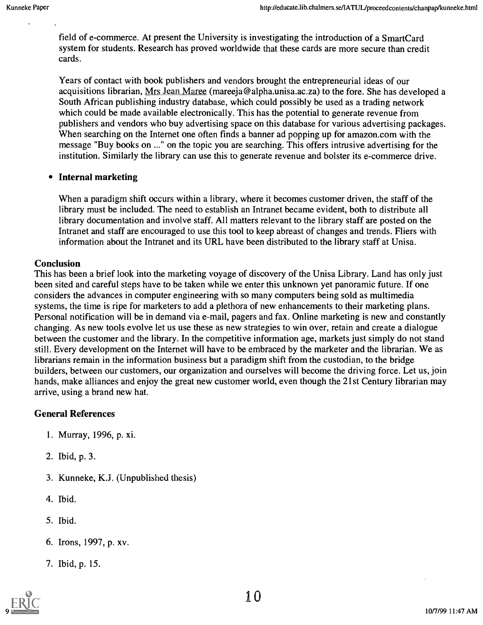field of e-commerce. At present the University is investigating the introduction of a SmartCard system for students. Research has proved worldwide that these cards are more secure than credit cards.

Years of contact with book publishers and vendors brought the entrepreneurial ideas of our acquisitions librarian, Mrs Jean Maree (mareeja@alpha.unisa.ac.za) to the fore. She has developed a South African publishing industry database, which could possibly be used as a trading network which could be made available electronically. This has the potential to generate revenue from publishers and vendors who buy advertising space on this database for various advertising packages. When searching on the Internet one often finds a banner ad popping up for amazon.com with the message "Buy books on ..." on the topic you are searching. This offers intrusive advertising for the institution. Similarly the library can use this to generate revenue and bolster its e-commerce drive.

#### Internal marketing  $\bullet$

When a paradigm shift occurs within a library, where it becomes customer driven, the staff of the library must be included. The need to establish an Intranet became evident, both to distribute all library documentation and involve staff. All matters relevant to the library staff are posted on the Intranet and staff are encouraged to use this tool to keep abreast of changes and trends. Fliers with information about the Intranet and its URL have been distributed to the library staff at Unisa.

#### Conclusion

This has been a brief look into the marketing voyage of discovery of the Unisa Library. Land has only just been sited and careful steps have to be taken while we enter this unknown yet panoramic future. If one considers the advances in computer engineering with so many computers being sold as multimedia systems, the time is ripe for marketers to add a plethora of new enhancements to their marketing plans. Personal notification will be in demand via e-mail, pagers and fax. Online marketing is new and constantly changing. As new tools evolve let us use these as new strategies to win over, retain and create a dialogue between the customer and the library. In the competitive information age, markets just simply do not stand still. Every development on the Internet will have to be embraced by the marketer and the librarian. We as librarians remain in the information business but a paradigm shift from the custodian, to the bridge builders, between our customers, our organization and ourselves will become the driving force. Let us, join hands, make alliances and enjoy the great new customer world, even though the 21st Century librarian may arrive, using a brand new hat.

#### General References

- 1. Murray, 1996, p. xi.
- 2. Ibid, p. 3.
- 3. Kunneke, K.J. (Unpublished thesis)
- 4. Ibid.
- 5. Ibid.
- 6. Irons, 1997, p. xv.
- 7. Ibid, p. 15.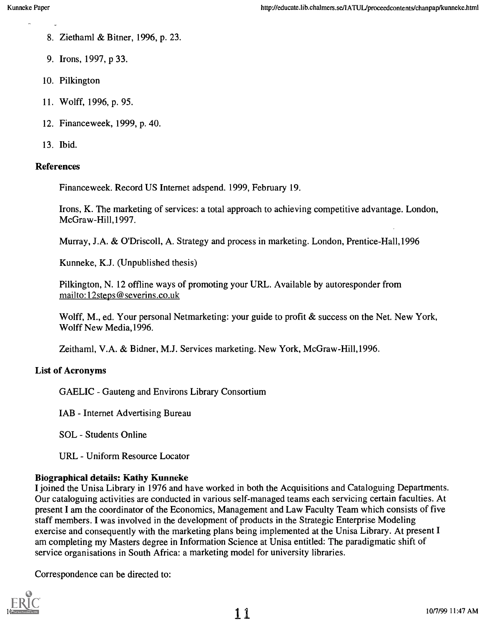- 8. Ziethaml & Bitner, 1996, p. 23.
- 9. Irons, 1997, p 33.
- 10. Pilkington
- 11. Wolff, 1996, p. 95.
- 12. Financeweek, 1999, p. 40.
- 13. Ibid.

#### References

Financeweek. Record US Internet adspend. 1999, February 19.

Irons, K. The marketing of services: a total approach to achieving competitive advantage. London, McGraw-Hill, 1997.

Murray, J.A. & O'Driscoll, A. Strategy and process in marketing. London, Prentice-Hal1,1996

Kunneke, K.J. (Unpublished thesis)

Pilkington, N. 12 offline ways of promoting your URL. Available by autoresponder from mail to: 1 2steps @ severins.co.uk.

Wolff, M., ed. Your personal Netmarketing: your guide to profit & success on the Net. New York, Wolff New Media,1996.

Zeithaml, V.A. & Bidner, M.J. Services marketing. New York, McGraw-Hi11,1996.

#### List of Acronyms

GAELIC - Gauteng and Environs Library Consortium

IAB - Internet Advertising Bureau

SOL - Students Online

URL - Uniform Resource Locator

#### Biographical details: Kathy Kunneke

I joined the Unisa Library in 1976 and have worked in both the Acquisitions and Cataloguing Departments. Our cataloguing activities are conducted in various self-managed teams each servicing certain faculties. At present I am the coordinator of the Economics, Management and Law Faculty Team which consists of five staff members. I was involved in the development of products in the Strategic Enterprise Modeling exercise and consequently with the marketing plans being implemented at the Unisa Library. At present I am completing my Masters degree in Information Science at Unisa entitled: The paradigmatic shift of service organisations in South Africa: a marketing model for university libraries.

Correspondence can be directed to:

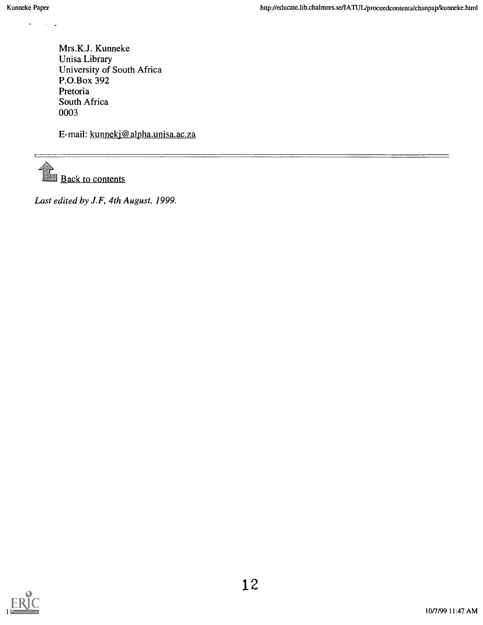$\mathbf{r}$ 

Mrs.K.J. Kunneke Unisa Library University of South Africa P.O.Box 392 Pretoria South Africa 0003

E-mail: kunnekj@alpha.unisa.ac.za

Back to contents

Last edited by J.F, 4th August, 1999.